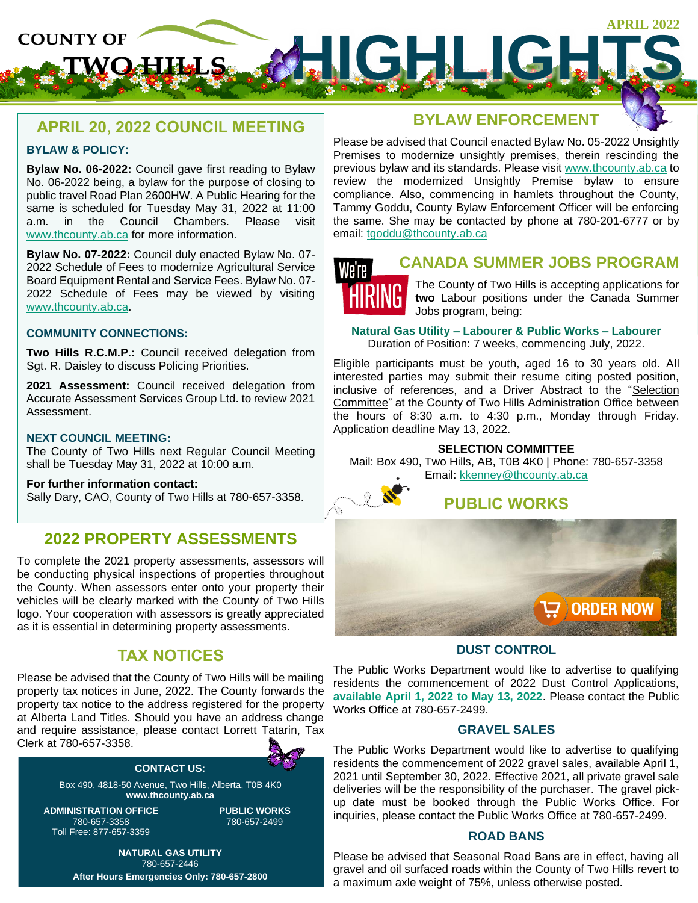

# **APRIL 20, 2022 COUNCIL MEETING**

#### **BYLAW & POLICY:**

**Bylaw No. 06-2022:** Council gave first reading to Bylaw No. 06-2022 being, a bylaw for the purpose of closing to public travel Road Plan 2600HW. A Public Hearing for the same is scheduled for Tuesday May 31, 2022 at 11:00 a.m. in the Council Chambers. Please visit [www.thcounty.ab.ca](http://www.thcounty.ab.ca/) for more information.

**Bylaw No. 07-2022:** Council duly enacted Bylaw No. 07- 2022 Schedule of Fees to modernize Agricultural Service Board Equipment Rental and Service Fees. Bylaw No. 07- 2022 Schedule of Fees may be viewed by visiting [www.thcounty.ab.ca.](http://www.thcounty.ab.ca/)

#### **COMMUNITY CONNECTIONS:**

**Two Hills R.C.M.P.:** Council received delegation from Sgt. R. Daisley to discuss Policing Priorities.

**2021 Assessment:** Council received delegation from Accurate Assessment Services Group Ltd. to review 2021 Assessment.

#### **NEXT COUNCIL MEETING:**

The County of Two Hills next Regular Council Meeting shall be Tuesday May 31, 2022 at 10:00 a.m.

#### **For further information contact:**

Sally Dary, CAO, County of Two Hills at 780-657-3358.

# **2022 PROPERTY ASSESSMENTS**

To complete the 2021 property assessments, assessors will be conducting physical inspections of properties throughout the County. When assessors enter onto your property their vehicles will be clearly marked with the County of Two Hills logo. Your cooperation with assessors is greatly appreciated as it is essential in determining property assessments.

# **TAX NOTICES**

Please be advised that the County of Two Hills will be mailing property tax notices in June, 2022. The County forwards the property tax notice to the address registered for the property at Alberta Land Titles. Should you have an address change and require assistance, please contact Lorrett Tatarin, Tax Clerk at 780-657-3358.

### **CONTACT US:**

Box 490, 4818-50 Avenue, Two Hills, Alberta, T0B 4K0 **www.thcounty.ab.ca**

**ADMINISTRATION OFFICE** 780-657-3358 Toll Free: 877-657-3359

**PUBLIC WORKS** 780-657-2499

**NATURAL GAS UTILITY** 780-657-2446 **After Hours Emergencies Only: 780-657-2800**

# **BYLAW ENFORCEMENT**

Please be advised that Council enacted Bylaw No. 05-2022 Unsightly Premises to modernize unsightly premises, therein rescinding the previous bylaw and its standards. Please visit [www.thcounty.ab.ca](http://www.thcounty.ab.ca/) to review the modernized Unsightly Premise bylaw to ensure compliance. Also, commencing in hamlets throughout the County, Tammy Goddu, County Bylaw Enforcement Officer will be enforcing the same. She may be contacted by phone at 780-201-6777 or by email: [tgoddu@thcounty.ab.ca](mailto:tgoddu@thcounty.ab.ca)



## **CANADA SUMMER JOBS PROGRAM**

The County of Two Hills is accepting applications for **two** Labour positions under the Canada Summer Jobs program, being:

**Natural Gas Utility – Labourer & Public Works – Labourer** Duration of Position: 7 weeks, commencing July, 2022.

Eligible participants must be youth, aged 16 to 30 years old. All

interested parties may submit their resume citing posted position, inclusive of references, and a Driver Abstract to the "Selection Committee" at the County of Two Hills Administration Office between the hours of 8:30 a.m. to 4:30 p.m., Monday through Friday. Application deadline May 13, 2022.

#### **SELECTION COMMITTEE**

Mail: Box 490, Two Hills, AB, T0B 4K0 | Phone: 780-657-3358 Email: [kkenney@thcounty.ab.ca](mailto:kkenney@thcounty.ab.ca)



**ORDER NOW** 

## **DUST CONTROL**

The Public Works Department would like to advertise to qualifying residents the commencement of 2022 Dust Control Applications, **available April 1, 2022 to May 13, 2022**. Please contact the Public Works Office at 780-657-2499.

## **GRAVEL SALES**

The Public Works Department would like to advertise to qualifying residents the commencement of 2022 gravel sales, available April 1, 2021 until September 30, 2022. Effective 2021, all private gravel sale deliveries will be the responsibility of the purchaser. The gravel pickup date must be booked through the Public Works Office. For inquiries, please contact the Public Works Office at 780-657-2499.

#### **ROAD BANS**

Please be advised that Seasonal Road Bans are in effect, having all gravel and oil surfaced roads within the County of Two Hills revert to a maximum axle weight of 75%, unless otherwise posted.